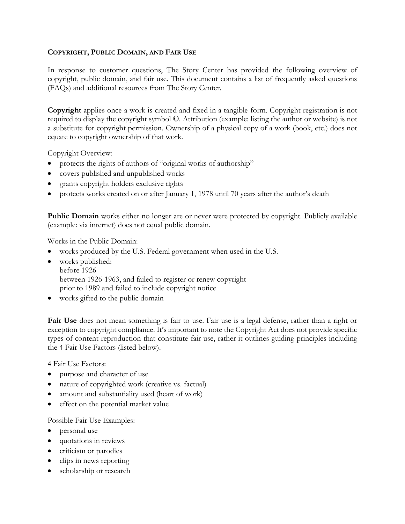## **COPYRIGHT, PUBLIC DOMAIN, AND FAIR USE**

In response to customer questions, The Story Center has provided the following overview of copyright, public domain, and fair use. This document contains a list of frequently asked questions (FAQs) and additional resources from The Story Center.

**Copyright** applies once a work is created and fixed in a tangible form. Copyright registration is not required to display the copyright symbol ©. Attribution (example: listing the author or website) is not a substitute for copyright permission. Ownership of a physical copy of a work (book, etc.) does not equate to copyright ownership of that work.

Copyright Overview:

- protects the rights of authors of "original works of authorship"
- covers published and unpublished works
- grants copyright holders exclusive rights
- protects works created on or after January 1, 1978 until 70 years after the author's death

**Public Domain** works either no longer are or never were protected by copyright. Publicly available (example: via internet) does not equal public domain.

Works in the Public Domain:

- works produced by the U.S. Federal government when used in the U.S.
- works published: before 1926 between 1926-1963, and failed to register or renew copyright prior to 1989 and failed to include copyright notice
- works gifted to the public domain

**Fair Use** does not mean something is fair to use. Fair use is a legal defense, rather than a right or exception to copyright compliance. It's important to note the Copyright Act does not provide specific types of content reproduction that constitute fair use, rather it outlines guiding principles including the 4 Fair Use Factors (listed below).

4 Fair Use Factors:

- purpose and character of use
- nature of copyrighted work (creative vs. factual)
- amount and substantiality used (heart of work)
- effect on the potential market value

Possible Fair Use Examples:

- personal use
- quotations in reviews
- criticism or parodies
- clips in news reporting
- scholarship or research